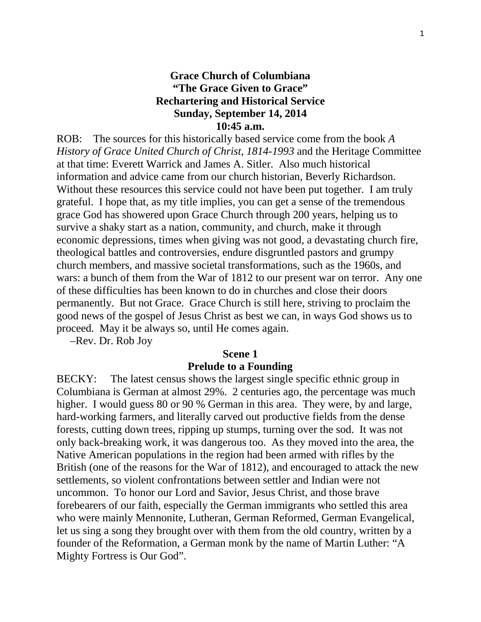# **Grace Church of Columbiana "The Grace Given to Grace" Rechartering and Historical Service Sunday, September 14, 2014 10:45 a.m.**

ROB: The sources for this historically based service come from the book *A History of Grace United Church of Christ, 1814-1993* and the Heritage Committee at that time: Everett Warrick and James A. Sitler. Also much historical information and advice came from our church historian, Beverly Richardson. Without these resources this service could not have been put together. I am truly grateful. I hope that, as my title implies, you can get a sense of the tremendous grace God has showered upon Grace Church through 200 years, helping us to survive a shaky start as a nation, community, and church, make it through economic depressions, times when giving was not good, a devastating church fire, theological battles and controversies, endure disgruntled pastors and grumpy church members, and massive societal transformations, such as the 1960s, and wars: a bunch of them from the War of 1812 to our present war on terror. Any one of these difficulties has been known to do in churches and close their doors permanently. But not Grace. Grace Church is still here, striving to proclaim the good news of the gospel of Jesus Christ as best we can, in ways God shows us to proceed. May it be always so, until He comes again.

–Rev. Dr. Rob Joy

#### **Scene 1**

#### **Prelude to a Founding**

BECKY: The latest census shows the largest single specific ethnic group in Columbiana is German at almost 29%. 2 centuries ago, the percentage was much higher. I would guess 80 or 90 % German in this area. They were, by and large, hard-working farmers, and literally carved out productive fields from the dense forests, cutting down trees, ripping up stumps, turning over the sod. It was not only back-breaking work, it was dangerous too. As they moved into the area, the Native American populations in the region had been armed with rifles by the British (one of the reasons for the War of 1812), and encouraged to attack the new settlements, so violent confrontations between settler and Indian were not uncommon. To honor our Lord and Savior, Jesus Christ, and those brave forebearers of our faith, especially the German immigrants who settled this area who were mainly Mennonite, Lutheran, German Reformed, German Evangelical, let us sing a song they brought over with them from the old country, written by a founder of the Reformation, a German monk by the name of Martin Luther: "A Mighty Fortress is Our God".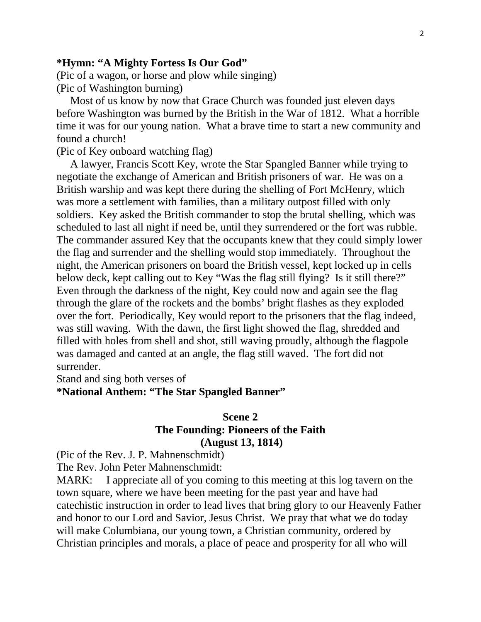#### **\*Hymn: "A Mighty Fortess Is Our God"**

(Pic of a wagon, or horse and plow while singing) (Pic of Washington burning)

 Most of us know by now that Grace Church was founded just eleven days before Washington was burned by the British in the War of 1812. What a horrible time it was for our young nation. What a brave time to start a new community and found a church!

(Pic of Key onboard watching flag)

 A lawyer, Francis Scott Key, wrote the Star Spangled Banner while trying to negotiate the exchange of American and British prisoners of war. He was on a British warship and was kept there during the shelling of Fort McHenry, which was more a settlement with families, than a military outpost filled with only soldiers. Key asked the British commander to stop the brutal shelling, which was scheduled to last all night if need be, until they surrendered or the fort was rubble. The commander assured Key that the occupants knew that they could simply lower the flag and surrender and the shelling would stop immediately. Throughout the night, the American prisoners on board the British vessel, kept locked up in cells below deck, kept calling out to Key "Was the flag still flying? Is it still there?" Even through the darkness of the night, Key could now and again see the flag through the glare of the rockets and the bombs' bright flashes as they exploded over the fort. Periodically, Key would report to the prisoners that the flag indeed, was still waving. With the dawn, the first light showed the flag, shredded and filled with holes from shell and shot, still waving proudly, although the flagpole was damaged and canted at an angle, the flag still waved. The fort did not surrender.

Stand and sing both verses of

**\*National Anthem: "The Star Spangled Banner"**

# **Scene 2 The Founding: Pioneers of the Faith (August 13, 1814)**

(Pic of the Rev. J. P. Mahnenschmidt)

The Rev. John Peter Mahnenschmidt:

MARK: I appreciate all of you coming to this meeting at this log tavern on the town square, where we have been meeting for the past year and have had catechistic instruction in order to lead lives that bring glory to our Heavenly Father and honor to our Lord and Savior, Jesus Christ. We pray that what we do today will make Columbiana, our young town, a Christian community, ordered by Christian principles and morals, a place of peace and prosperity for all who will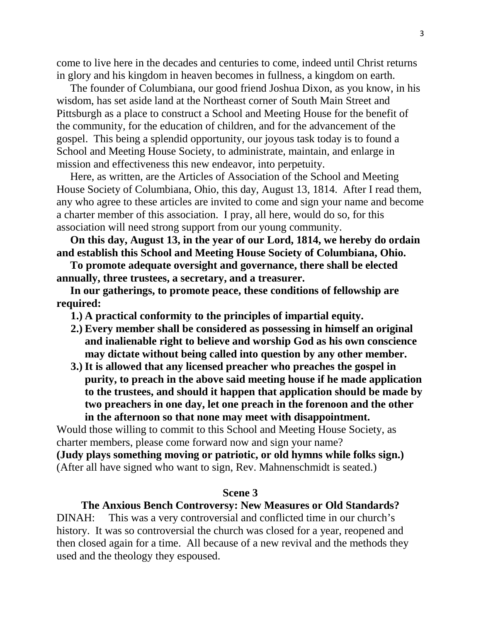come to live here in the decades and centuries to come, indeed until Christ returns in glory and his kingdom in heaven becomes in fullness, a kingdom on earth.

 The founder of Columbiana, our good friend Joshua Dixon, as you know, in his wisdom, has set aside land at the Northeast corner of South Main Street and Pittsburgh as a place to construct a School and Meeting House for the benefit of the community, for the education of children, and for the advancement of the gospel. This being a splendid opportunity, our joyous task today is to found a School and Meeting House Society, to administrate, maintain, and enlarge in mission and effectiveness this new endeavor, into perpetuity.

 Here, as written, are the Articles of Association of the School and Meeting House Society of Columbiana, Ohio, this day, August 13, 1814. After I read them, any who agree to these articles are invited to come and sign your name and become a charter member of this association. I pray, all here, would do so, for this association will need strong support from our young community.

 **On this day, August 13, in the year of our Lord, 1814, we hereby do ordain and establish this School and Meeting House Society of Columbiana, Ohio.** 

 **To promote adequate oversight and governance, there shall be elected annually, three trustees, a secretary, and a treasurer.**

 **In our gatherings, to promote peace, these conditions of fellowship are required:**

- **1.) A practical conformity to the principles of impartial equity.**
- **2.) Every member shall be considered as possessing in himself an original and inalienable right to believe and worship God as his own conscience may dictate without being called into question by any other member.**
- **3.) It is allowed that any licensed preacher who preaches the gospel in purity, to preach in the above said meeting house if he made application to the trustees, and should it happen that application should be made by two preachers in one day, let one preach in the forenoon and the other in the afternoon so that none may meet with disappointment.**

Would those willing to commit to this School and Meeting House Society, as charter members, please come forward now and sign your name? **(Judy plays something moving or patriotic, or old hymns while folks sign.)**

(After all have signed who want to sign, Rev. Mahnenschmidt is seated.)

## **Scene 3**

# **The Anxious Bench Controversy: New Measures or Old Standards?**

DINAH: This was a very controversial and conflicted time in our church's history. It was so controversial the church was closed for a year, reopened and then closed again for a time. All because of a new revival and the methods they used and the theology they espoused.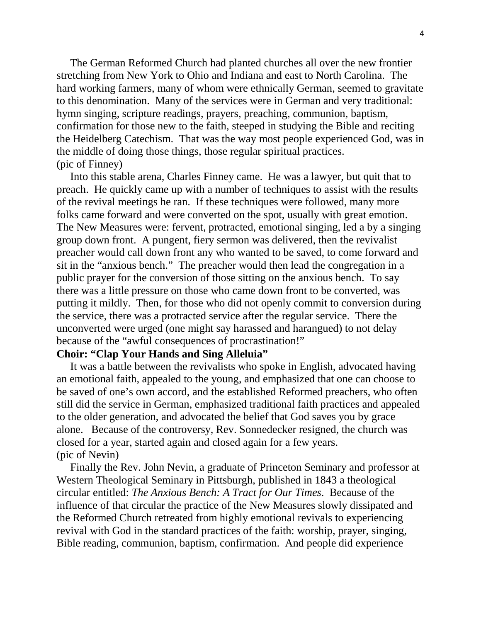The German Reformed Church had planted churches all over the new frontier stretching from New York to Ohio and Indiana and east to North Carolina. The hard working farmers, many of whom were ethnically German, seemed to gravitate to this denomination. Many of the services were in German and very traditional: hymn singing, scripture readings, prayers, preaching, communion, baptism, confirmation for those new to the faith, steeped in studying the Bible and reciting the Heidelberg Catechism. That was the way most people experienced God, was in the middle of doing those things, those regular spiritual practices. (pic of Finney)

 Into this stable arena, Charles Finney came. He was a lawyer, but quit that to preach. He quickly came up with a number of techniques to assist with the results of the revival meetings he ran. If these techniques were followed, many more folks came forward and were converted on the spot, usually with great emotion. The New Measures were: fervent, protracted, emotional singing, led a by a singing group down front. A pungent, fiery sermon was delivered, then the revivalist preacher would call down front any who wanted to be saved, to come forward and sit in the "anxious bench." The preacher would then lead the congregation in a public prayer for the conversion of those sitting on the anxious bench. To say there was a little pressure on those who came down front to be converted, was putting it mildly. Then, for those who did not openly commit to conversion during the service, there was a protracted service after the regular service. There the unconverted were urged (one might say harassed and harangued) to not delay because of the "awful consequences of procrastination!"

#### **Choir: "Clap Your Hands and Sing Alleluia"**

 It was a battle between the revivalists who spoke in English, advocated having an emotional faith, appealed to the young, and emphasized that one can choose to be saved of one's own accord, and the established Reformed preachers, who often still did the service in German, emphasized traditional faith practices and appealed to the older generation, and advocated the belief that God saves you by grace alone. Because of the controversy, Rev. Sonnedecker resigned, the church was closed for a year, started again and closed again for a few years. (pic of Nevin)

 Finally the Rev. John Nevin, a graduate of Princeton Seminary and professor at Western Theological Seminary in Pittsburgh, published in 1843 a theological circular entitled: *The Anxious Bench: A Tract for Our Times*. Because of the influence of that circular the practice of the New Measures slowly dissipated and the Reformed Church retreated from highly emotional revivals to experiencing revival with God in the standard practices of the faith: worship, prayer, singing, Bible reading, communion, baptism, confirmation. And people did experience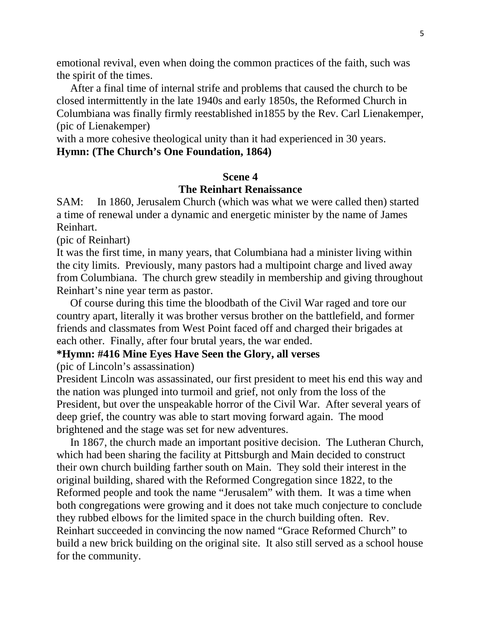emotional revival, even when doing the common practices of the faith, such was the spirit of the times.

 After a final time of internal strife and problems that caused the church to be closed intermittently in the late 1940s and early 1850s, the Reformed Church in Columbiana was finally firmly reestablished in1855 by the Rev. Carl Lienakemper, (pic of Lienakemper)

with a more cohesive theological unity than it had experienced in 30 years.

# **Hymn: (The Church's One Foundation, 1864)**

# **Scene 4**

# **The Reinhart Renaissance**

SAM: In 1860, Jerusalem Church (which was what we were called then) started a time of renewal under a dynamic and energetic minister by the name of James Reinhart.

(pic of Reinhart)

It was the first time, in many years, that Columbiana had a minister living within the city limits. Previously, many pastors had a multipoint charge and lived away from Columbiana. The church grew steadily in membership and giving throughout Reinhart's nine year term as pastor.

 Of course during this time the bloodbath of the Civil War raged and tore our country apart, literally it was brother versus brother on the battlefield, and former friends and classmates from West Point faced off and charged their brigades at each other. Finally, after four brutal years, the war ended.

#### **\*Hymn: #416 Mine Eyes Have Seen the Glory, all verses**

(pic of Lincoln's assassination)

President Lincoln was assassinated, our first president to meet his end this way and the nation was plunged into turmoil and grief, not only from the loss of the President, but over the unspeakable horror of the Civil War. After several years of deep grief, the country was able to start moving forward again. The mood brightened and the stage was set for new adventures.

 In 1867, the church made an important positive decision. The Lutheran Church, which had been sharing the facility at Pittsburgh and Main decided to construct their own church building farther south on Main. They sold their interest in the original building, shared with the Reformed Congregation since 1822, to the Reformed people and took the name "Jerusalem" with them. It was a time when both congregations were growing and it does not take much conjecture to conclude they rubbed elbows for the limited space in the church building often. Rev. Reinhart succeeded in convincing the now named "Grace Reformed Church" to build a new brick building on the original site. It also still served as a school house for the community.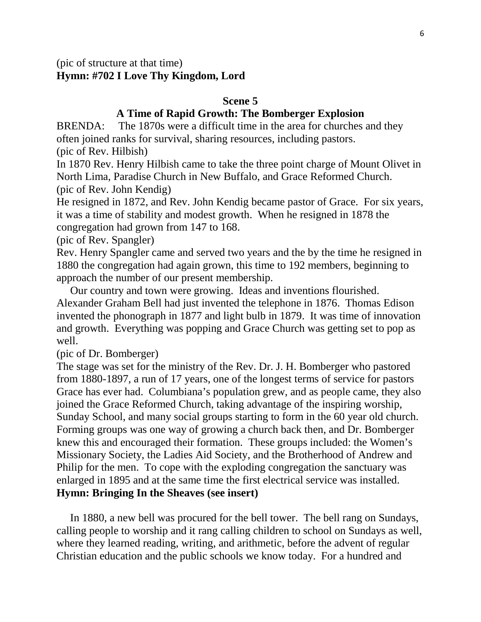(pic of structure at that time) **Hymn: #702 I Love Thy Kingdom, Lord**

#### **Scene 5**

# **A Time of Rapid Growth: The Bomberger Explosion**

BRENDA: The 1870s were a difficult time in the area for churches and they often joined ranks for survival, sharing resources, including pastors.

(pic of Rev. Hilbish)

In 1870 Rev. Henry Hilbish came to take the three point charge of Mount Olivet in North Lima, Paradise Church in New Buffalo, and Grace Reformed Church. (pic of Rev. John Kendig)

He resigned in 1872, and Rev. John Kendig became pastor of Grace. For six years, it was a time of stability and modest growth. When he resigned in 1878 the congregation had grown from 147 to 168.

(pic of Rev. Spangler)

Rev. Henry Spangler came and served two years and the by the time he resigned in 1880 the congregation had again grown, this time to 192 members, beginning to approach the number of our present membership.

 Our country and town were growing. Ideas and inventions flourished. Alexander Graham Bell had just invented the telephone in 1876. Thomas Edison invented the phonograph in 1877 and light bulb in 1879. It was time of innovation and growth. Everything was popping and Grace Church was getting set to pop as well.

(pic of Dr. Bomberger)

The stage was set for the ministry of the Rev. Dr. J. H. Bomberger who pastored from 1880-1897, a run of 17 years, one of the longest terms of service for pastors Grace has ever had. Columbiana's population grew, and as people came, they also joined the Grace Reformed Church, taking advantage of the inspiring worship, Sunday School, and many social groups starting to form in the 60 year old church. Forming groups was one way of growing a church back then, and Dr. Bomberger knew this and encouraged their formation. These groups included: the Women's Missionary Society, the Ladies Aid Society, and the Brotherhood of Andrew and Philip for the men. To cope with the exploding congregation the sanctuary was enlarged in 1895 and at the same time the first electrical service was installed. **Hymn: Bringing In the Sheaves (see insert)**

 In 1880, a new bell was procured for the bell tower. The bell rang on Sundays, calling people to worship and it rang calling children to school on Sundays as well, where they learned reading, writing, and arithmetic, before the advent of regular Christian education and the public schools we know today. For a hundred and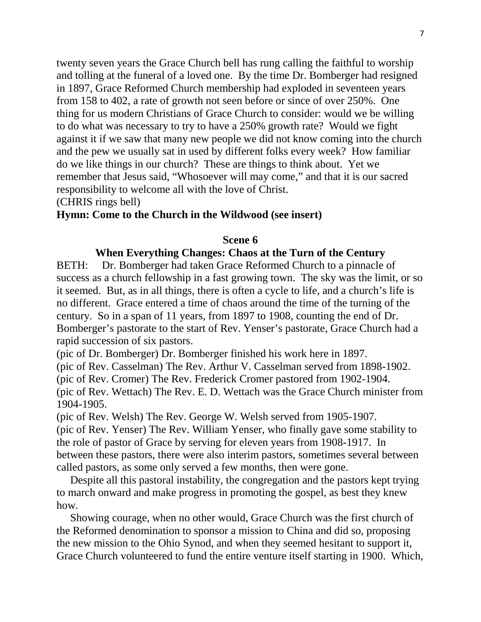twenty seven years the Grace Church bell has rung calling the faithful to worship and tolling at the funeral of a loved one. By the time Dr. Bomberger had resigned in 1897, Grace Reformed Church membership had exploded in seventeen years from 158 to 402, a rate of growth not seen before or since of over 250%. One thing for us modern Christians of Grace Church to consider: would we be willing to do what was necessary to try to have a 250% growth rate? Would we fight against it if we saw that many new people we did not know coming into the church and the pew we usually sat in used by different folks every week? How familiar do we like things in our church? These are things to think about. Yet we remember that Jesus said, "Whosoever will may come," and that it is our sacred responsibility to welcome all with the love of Christ.

(CHRIS rings bell)

## **Hymn: Come to the Church in the Wildwood (see insert)**

## **Scene 6**

# **When Everything Changes: Chaos at the Turn of the Century**

BETH: Dr. Bomberger had taken Grace Reformed Church to a pinnacle of success as a church fellowship in a fast growing town. The sky was the limit, or so it seemed. But, as in all things, there is often a cycle to life, and a church's life is no different. Grace entered a time of chaos around the time of the turning of the century. So in a span of 11 years, from 1897 to 1908, counting the end of Dr. Bomberger's pastorate to the start of Rev. Yenser's pastorate, Grace Church had a rapid succession of six pastors.

(pic of Dr. Bomberger) Dr. Bomberger finished his work here in 1897.

(pic of Rev. Casselman) The Rev. Arthur V. Casselman served from 1898-1902.

(pic of Rev. Cromer) The Rev. Frederick Cromer pastored from 1902-1904.

(pic of Rev. Wettach) The Rev. E. D. Wettach was the Grace Church minister from 1904-1905.

(pic of Rev. Welsh) The Rev. George W. Welsh served from 1905-1907. (pic of Rev. Yenser) The Rev. William Yenser, who finally gave some stability to the role of pastor of Grace by serving for eleven years from 1908-1917. In between these pastors, there were also interim pastors, sometimes several between called pastors, as some only served a few months, then were gone.

 Despite all this pastoral instability, the congregation and the pastors kept trying to march onward and make progress in promoting the gospel, as best they knew how.

 Showing courage, when no other would, Grace Church was the first church of the Reformed denomination to sponsor a mission to China and did so, proposing the new mission to the Ohio Synod, and when they seemed hesitant to support it, Grace Church volunteered to fund the entire venture itself starting in 1900. Which,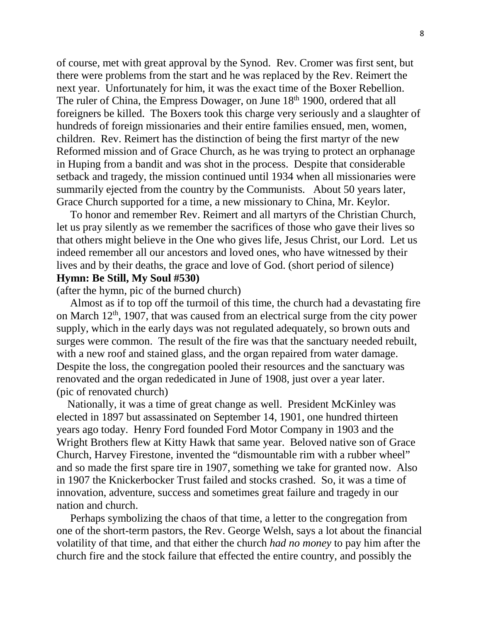of course, met with great approval by the Synod. Rev. Cromer was first sent, but there were problems from the start and he was replaced by the Rev. Reimert the next year. Unfortunately for him, it was the exact time of the Boxer Rebellion. The ruler of China, the Empress Dowager, on June 18<sup>th</sup> 1900, ordered that all foreigners be killed. The Boxers took this charge very seriously and a slaughter of hundreds of foreign missionaries and their entire families ensued, men, women, children. Rev. Reimert has the distinction of being the first martyr of the new Reformed mission and of Grace Church, as he was trying to protect an orphanage in Huping from a bandit and was shot in the process. Despite that considerable setback and tragedy, the mission continued until 1934 when all missionaries were summarily ejected from the country by the Communists. About 50 years later, Grace Church supported for a time, a new missionary to China, Mr. Keylor.

 To honor and remember Rev. Reimert and all martyrs of the Christian Church, let us pray silently as we remember the sacrifices of those who gave their lives so that others might believe in the One who gives life, Jesus Christ, our Lord. Let us indeed remember all our ancestors and loved ones, who have witnessed by their lives and by their deaths, the grace and love of God. (short period of silence) **Hymn: Be Still, My Soul #530)**

(after the hymn, pic of the burned church)

 Almost as if to top off the turmoil of this time, the church had a devastating fire on March  $12<sup>th</sup>$ , 1907, that was caused from an electrical surge from the city power supply, which in the early days was not regulated adequately, so brown outs and surges were common. The result of the fire was that the sanctuary needed rebuilt, with a new roof and stained glass, and the organ repaired from water damage. Despite the loss, the congregation pooled their resources and the sanctuary was renovated and the organ rededicated in June of 1908, just over a year later. (pic of renovated church)

 Nationally, it was a time of great change as well. President McKinley was elected in 1897 but assassinated on September 14, 1901, one hundred thirteen years ago today. Henry Ford founded Ford Motor Company in 1903 and the Wright Brothers flew at Kitty Hawk that same year. Beloved native son of Grace Church, Harvey Firestone, invented the "dismountable rim with a rubber wheel" and so made the first spare tire in 1907, something we take for granted now. Also in 1907 the Knickerbocker Trust failed and stocks crashed. So, it was a time of innovation, adventure, success and sometimes great failure and tragedy in our nation and church.

 Perhaps symbolizing the chaos of that time, a letter to the congregation from one of the short-term pastors, the Rev. George Welsh, says a lot about the financial volatility of that time, and that either the church *had no money* to pay him after the church fire and the stock failure that effected the entire country, and possibly the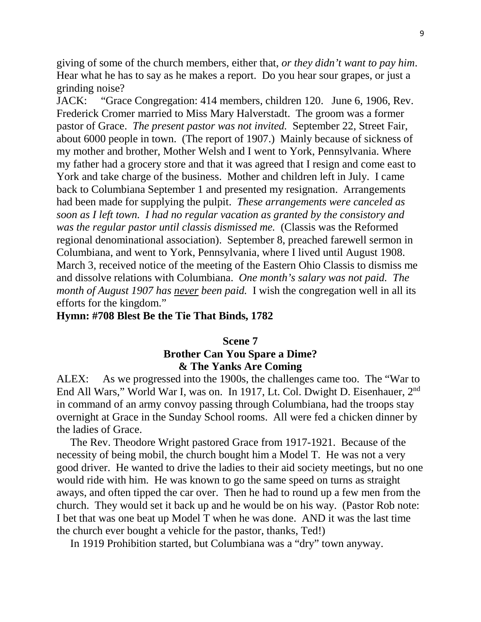giving of some of the church members, either that, *or they didn't want to pay him*. Hear what he has to say as he makes a report. Do you hear sour grapes, or just a grinding noise?

JACK: "Grace Congregation: 414 members, children 120. June 6, 1906, Rev. Frederick Cromer married to Miss Mary Halverstadt. The groom was a former pastor of Grace. *The present pastor was not invited.* September 22, Street Fair, about 6000 people in town. (The report of 1907.) Mainly because of sickness of my mother and brother, Mother Welsh and I went to York, Pennsylvania. Where my father had a grocery store and that it was agreed that I resign and come east to York and take charge of the business. Mother and children left in July. I came back to Columbiana September 1 and presented my resignation. Arrangements had been made for supplying the pulpit. *These arrangements were canceled as soon as I left town. I had no regular vacation as granted by the consistory and was the regular pastor until classis dismissed me.* (Classis was the Reformed regional denominational association). September 8, preached farewell sermon in Columbiana, and went to York, Pennsylvania, where I lived until August 1908. March 3, received notice of the meeting of the Eastern Ohio Classis to dismiss me and dissolve relations with Columbiana. *One month's salary was not paid. The month of August 1907 has never been paid.* I wish the congregation well in all its efforts for the kingdom."

# **Hymn: #708 Blest Be the Tie That Binds, 1782**

# **Scene 7**

# **Brother Can You Spare a Dime? & The Yanks Are Coming**

ALEX: As we progressed into the 1900s, the challenges came too. The "War to End All Wars," World War I, was on. In 1917, Lt. Col. Dwight D. Eisenhauer, 2nd in command of an army convoy passing through Columbiana, had the troops stay overnight at Grace in the Sunday School rooms. All were fed a chicken dinner by the ladies of Grace.

 The Rev. Theodore Wright pastored Grace from 1917-1921. Because of the necessity of being mobil, the church bought him a Model T. He was not a very good driver. He wanted to drive the ladies to their aid society meetings, but no one would ride with him. He was known to go the same speed on turns as straight aways, and often tipped the car over. Then he had to round up a few men from the church. They would set it back up and he would be on his way. (Pastor Rob note: I bet that was one beat up Model T when he was done. AND it was the last time the church ever bought a vehicle for the pastor, thanks, Ted!)

In 1919 Prohibition started, but Columbiana was a "dry" town anyway.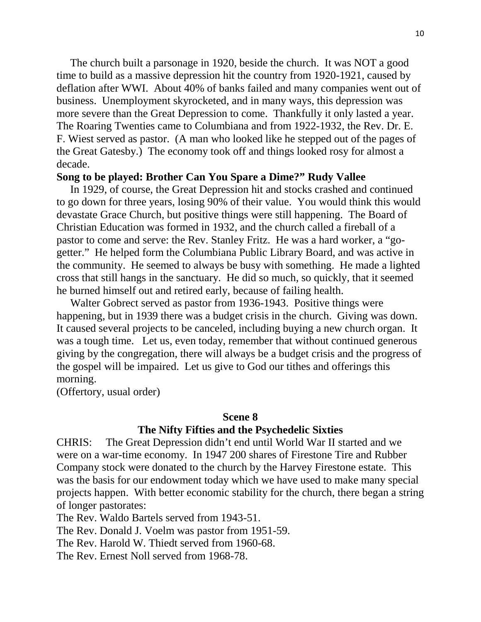The church built a parsonage in 1920, beside the church. It was NOT a good time to build as a massive depression hit the country from 1920-1921, caused by deflation after WWI. About 40% of banks failed and many companies went out of business. Unemployment skyrocketed, and in many ways, this depression was more severe than the Great Depression to come. Thankfully it only lasted a year. The Roaring Twenties came to Columbiana and from 1922-1932, the Rev. Dr. E. F. Wiest served as pastor. (A man who looked like he stepped out of the pages of the Great Gatesby.) The economy took off and things looked rosy for almost a decade.

#### **Song to be played: Brother Can You Spare a Dime?" Rudy Vallee**

 In 1929, of course, the Great Depression hit and stocks crashed and continued to go down for three years, losing 90% of their value. You would think this would devastate Grace Church, but positive things were still happening. The Board of Christian Education was formed in 1932, and the church called a fireball of a pastor to come and serve: the Rev. Stanley Fritz. He was a hard worker, a "gogetter." He helped form the Columbiana Public Library Board, and was active in the community. He seemed to always be busy with something. He made a lighted cross that still hangs in the sanctuary. He did so much, so quickly, that it seemed he burned himself out and retired early, because of failing health.

 Walter Gobrect served as pastor from 1936-1943. Positive things were happening, but in 1939 there was a budget crisis in the church. Giving was down. It caused several projects to be canceled, including buying a new church organ. It was a tough time. Let us, even today, remember that without continued generous giving by the congregation, there will always be a budget crisis and the progress of the gospel will be impaired. Let us give to God our tithes and offerings this morning.

(Offertory, usual order)

#### **Scene 8**

#### **The Nifty Fifties and the Psychedelic Sixties**

CHRIS: The Great Depression didn't end until World War II started and we were on a war-time economy. In 1947 200 shares of Firestone Tire and Rubber Company stock were donated to the church by the Harvey Firestone estate. This was the basis for our endowment today which we have used to make many special projects happen. With better economic stability for the church, there began a string of longer pastorates:

The Rev. Waldo Bartels served from 1943-51.

The Rev. Donald J. Voelm was pastor from 1951-59.

The Rev. Harold W. Thiedt served from 1960-68.

The Rev. Ernest Noll served from 1968-78.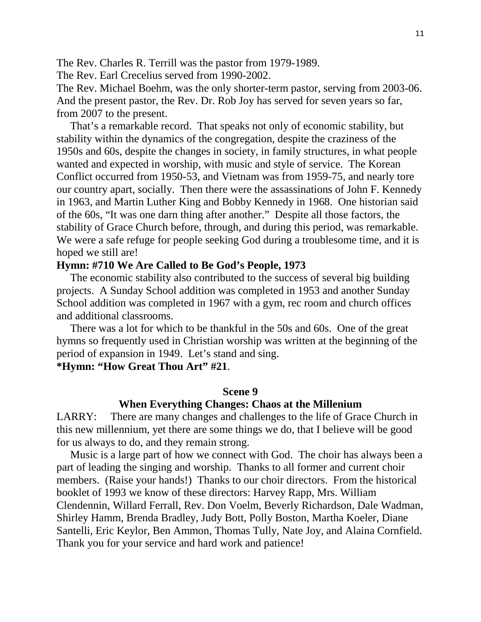The Rev. Charles R. Terrill was the pastor from 1979-1989.

The Rev. Earl Crecelius served from 1990-2002.

The Rev. Michael Boehm, was the only shorter-term pastor, serving from 2003-06. And the present pastor, the Rev. Dr. Rob Joy has served for seven years so far, from 2007 to the present.

 That's a remarkable record. That speaks not only of economic stability, but stability within the dynamics of the congregation, despite the craziness of the 1950s and 60s, despite the changes in society, in family structures, in what people wanted and expected in worship, with music and style of service. The Korean Conflict occurred from 1950-53, and Vietnam was from 1959-75, and nearly tore our country apart, socially. Then there were the assassinations of John F. Kennedy in 1963, and Martin Luther King and Bobby Kennedy in 1968. One historian said of the 60s, "It was one darn thing after another." Despite all those factors, the stability of Grace Church before, through, and during this period, was remarkable. We were a safe refuge for people seeking God during a troublesome time, and it is hoped we still are!

#### **Hymn: #710 We Are Called to Be God's People, 1973**

 The economic stability also contributed to the success of several big building projects. A Sunday School addition was completed in 1953 and another Sunday School addition was completed in 1967 with a gym, rec room and church offices and additional classrooms.

 There was a lot for which to be thankful in the 50s and 60s. One of the great hymns so frequently used in Christian worship was written at the beginning of the period of expansion in 1949. Let's stand and sing.

**\*Hymn: "How Great Thou Art" #21**.

#### **Scene 9**

# **When Everything Changes: Chaos at the Millenium**

LARRY: There are many changes and challenges to the life of Grace Church in this new millennium, yet there are some things we do, that I believe will be good for us always to do, and they remain strong.

 Music is a large part of how we connect with God. The choir has always been a part of leading the singing and worship. Thanks to all former and current choir members. (Raise your hands!) Thanks to our choir directors. From the historical booklet of 1993 we know of these directors: Harvey Rapp, Mrs. William Clendennin, Willard Ferrall, Rev. Don Voelm, Beverly Richardson, Dale Wadman, Shirley Hamm, Brenda Bradley, Judy Bott, Polly Boston, Martha Koeler, Diane Santelli, Eric Keylor, Ben Ammon, Thomas Tully, Nate Joy, and Alaina Cornfield. Thank you for your service and hard work and patience!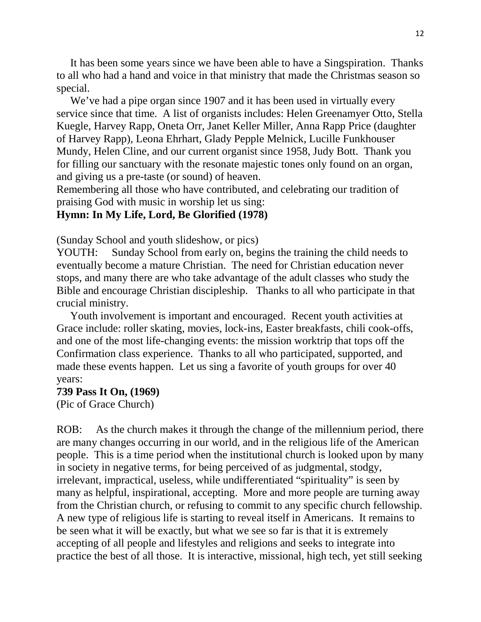It has been some years since we have been able to have a Singspiration. Thanks to all who had a hand and voice in that ministry that made the Christmas season so special.

 We've had a pipe organ since 1907 and it has been used in virtually every service since that time. A list of organists includes: Helen Greenamyer Otto, Stella Kuegle, Harvey Rapp, Oneta Orr, Janet Keller Miller, Anna Rapp Price (daughter of Harvey Rapp), Leona Ehrhart, Glady Pepple Melnick, Lucille Funkhouser Mundy, Helen Cline, and our current organist since 1958, Judy Bott. Thank you for filling our sanctuary with the resonate majestic tones only found on an organ, and giving us a pre-taste (or sound) of heaven.

Remembering all those who have contributed, and celebrating our tradition of praising God with music in worship let us sing:

## **Hymn: In My Life, Lord, Be Glorified (1978)**

(Sunday School and youth slideshow, or pics)

YOUTH: Sunday School from early on, begins the training the child needs to eventually become a mature Christian. The need for Christian education never stops, and many there are who take advantage of the adult classes who study the Bible and encourage Christian discipleship. Thanks to all who participate in that crucial ministry.

 Youth involvement is important and encouraged. Recent youth activities at Grace include: roller skating, movies, lock-ins, Easter breakfasts, chili cook-offs, and one of the most life-changing events: the mission worktrip that tops off the Confirmation class experience. Thanks to all who participated, supported, and made these events happen. Let us sing a favorite of youth groups for over 40 years:

#### **739 Pass It On, (1969)**

(Pic of Grace Church)

ROB: As the church makes it through the change of the millennium period, there are many changes occurring in our world, and in the religious life of the American people. This is a time period when the institutional church is looked upon by many in society in negative terms, for being perceived of as judgmental, stodgy, irrelevant, impractical, useless, while undifferentiated "spirituality" is seen by many as helpful, inspirational, accepting. More and more people are turning away from the Christian church, or refusing to commit to any specific church fellowship. A new type of religious life is starting to reveal itself in Americans. It remains to be seen what it will be exactly, but what we see so far is that it is extremely accepting of all people and lifestyles and religions and seeks to integrate into practice the best of all those. It is interactive, missional, high tech, yet still seeking